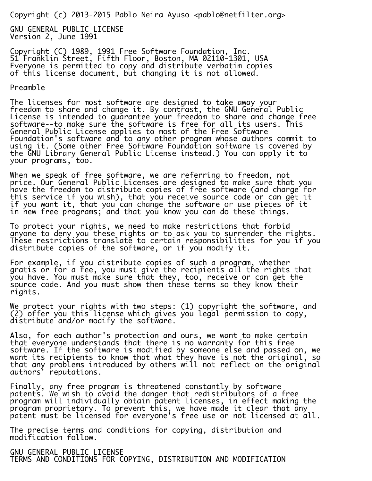Copyright (c) 2013-2015 Pablo Neira Ayuso <pablo@netfilter.org>

GNU GENERAL PUBLIC LICENSE Version 2, June 1991

Copyright (C) 1989, 1991 Free Software Foundation, Inc. 51 Franklin Street, Fifth Floor, Boston, MA 02110-1301, USA Everyone is permitted to copy and distribute verbatim copies of this license document, but changing it is not allowed.

## Preamble

The licenses for most software are designed to take away your freedom to share and change it. By contrast, the GNU General Public License is intended to guarantee your freedom to share and change free software--to make sure the software is free for all its users. This General Public License applies to most of the Free Software Foundation's software and to any other program whose authors commit to using it. (Some other Free Software Foundation software is covered by the GNU Library General Public License instead.) You can apply it to your programs, too.

Ī. When we speak of free software, we are referring to freedom, not price. Our General Public Licenses are designed to make sure that you have the freedom to distribute copies of free software (and charge for this service if you wish), that you receive source code or can get it if you want it, that you can change the software or use pieces of it in new free programs; and that you know you can do these things.

To protect your rights, we need to make restrictions that forbid anyone to deny you these rights or to ask you to surrender the rights. These restrictions translate to certain responsibilities for you if you distribute copies of the software, or if you modify it.

For example, if you distribute copies of such a program, whether gratis or for a fee, you must give the recipients all the rights that you have. You must make sure that they, too, receive or can get the source code. And you must show them these terms so they know their rights.

We protect your rights with two steps: (1) copyright the software, and (2) offer you this license which gives you legal permission to copy, distribute and/or modify the software.

Also, for each author's protection and ours, we want to make certain that everyone understands that there is no warranty for this free software. If the software is modified by someone else and passed on, we want its recipients to know that what they have is not the original, so that any problems introduced by others will not reflect on the original authors' reputations.

Finally, any free program is threatened constantly by software patents. We wish to avoid the danger that redistributors of a free program will individually obtain patent licenses, in effect making the program proprietary. To prevent this, we have made it clear that any patent must be licensed for everyone's free use or not licensed at all.

i. The precise terms and conditions for copying, distribution and modification follow.

GNU GENERAL PUBLIC LICENSE TERMS AND CONDITIONS FOR COPYING, DISTRIBUTION AND MODIFICATION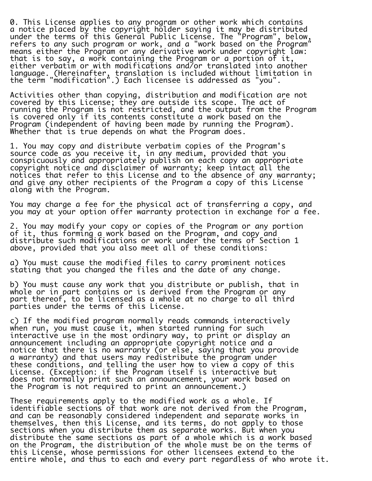0. This License applies to any program or other work which contains a notice placed by the copyright holder saying it may be distributed under the terms of this General Public License. The "Program", below, refers to any such program or work, and a "work based on the Program" means either the Program or any derivative work under copyright law: that is to say, a work containing the Program or a portion of it, either verbatim or with modifications and/or translated into another language. (Hereinafter, translation is included without limitation in the term "modification".) Each licensee is addressed as "you".

Activities other than copying, distribution and modification are not covered by this License; they are outside its scope. The act of running the Program is not restricted, and the output from the Program is covered only if its contents constitute a work based on the Program (independent of having been made by running the Program). Whether that is true depends on what the Program does.

1. You may copy and distribute verbatim copies of the Program's source code as you receive it, in any medium, provided that you conspicuously and appropriately publish on each copy an appropriate copyright notice and disclaimer of warranty; keep intact all the notices that refer to this License and to the absence of any warranty; and give any other recipients of the Program a copy of this License along with the Program.

You may charge a fee for the physical act of transferring a copy, and you may at your option offer warranty protection in exchange for a fee.

2. You may modify your copy or copies of the Program or any portion of it, thus forming a work based on the Program, and copy and distribute such modifications or work under the terms of Section 1 above, provided that you also meet all of these conditions:

a) You must cause the modified files to carry prominent notices stating that you changed the files and the date of any change.

b) You must cause any work that you distribute or publish, that in whole or in part contains or is derived from the Program or any part thereof, to be licensed as a whole at no charge to all third parties under the terms of this License.

c) If the modified program normally reads commands interactively when run, you must cause it, when started running for such interactive use in the most ordinary way, to print or display an announcement including an appropriate copyright notice and a notice that there is no warranty (or else, saying that you provide a warranty) and that users may redistribute the program under these conditions, and telling the user how to view a copy of this License. (Exception: if the Program itself is interactive but does not normally print such an announcement, your work based on the Program is not required to print an announcement.)

These requirements apply to the modified work as a whole. If identifiable sections of that work are not derived from the Program, and can be reasonably considered independent and separate works in themselves, then this License, and its terms, do not apply to those sections when you distribute them as separate works. But when you distribute the same sections as part of a whole which is a work based on the Program, the distribution of the whole must be on the terms of this License, whose permissions for other licensees extend to the entire whole, and thus to each and every part regardless of who wrote it.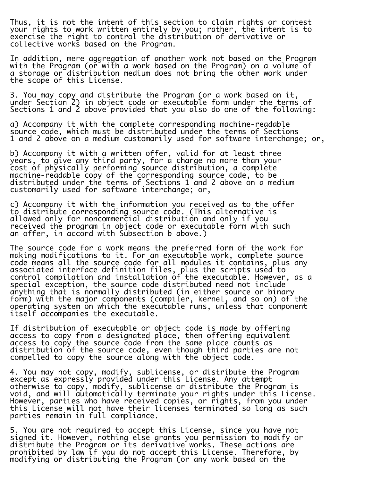Thus, it is not the intent of this section to claim rights or contest your rights to work written entirely by you; rather, the intent is to exercise the right to control the distribution of derivative or collective works based on the Program.

In addition, mere aggregation of another work not based on the Program with the Program (or with a work based on the Program) on a volume of a storage or distribution medium does not bring the other work under the scope of this License.

3. You may copy and distribute the Program (or a work based on it, under Section 2) in object code or executable form under the terms of Sections 1 and 2 above provided that you also do one of the following:

a) Accompany it with the complete corresponding machine-readable source code, which must be distributed under the terms of Sections 1 and 2 above on a medium customarily used for software interchange; or,

b) Accompany it with a written offer, valid for at least three years, to give any third party, for a charge no more than your cost of physically performing source distribution, a complete machine-readable copy of the corresponding source code, to be distributed under the terms of Sections 1 and 2 above on a medium customarily used for software interchange; or,

c) Accompany it with the information you received as to the offer to distribute corresponding source code. (This alternative is allowed only for noncommercial distribution and only if you received the program in object code or executable form with such an offer, in accord with Subsection b above.)

The source code for a work means the preferred form of the work for making modifications to it. For an executable work, complete source code means all the source code for all modules it contains, plus any associated interface definition files, plus the scripts used to control compilation and installation of the executable. However, as a special exception, the source code distributed need not include anything that is normally distributed (in either source or binary form) with the major components (compiler, kernel, and so on) of the operating system on which the executable runs, unless that component itself accompanies the executable.

If distribution of executable or object code is made by offering access to copy from a designated place, then offering equivalent access to copy the source code from the same place counts as distribution of the source code, even though third parties are not compelled to copy the source along with the object code.

4. You may not copy, modify, sublicense, or distribute the Program except as expressly provided under this License. Any attempt otherwise to copy, modify, sublicense or distribute the Program is void, and will automatically terminate your rights under this License. However, parties who have received copies, or rights, from you under this License will not have their licenses terminated so long as such parties remain in full compliance.

i. 5. You are not required to accept this License, since you have not signed it. However, nothing else grants you permission to modify or distribute the Program or its derivative works. These actions are prohibited by law if you do not accept this License. Therefore, by modifying or distributing the Program (or any work based on the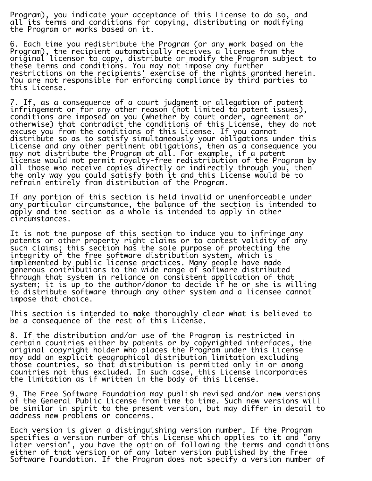Program), you indicate your acceptance of this License to do so, and all its terms and conditions for copying, distributing or modifying the Program or works based on it.

6. Each time you redistribute the Program (or any work based on the Program), the recipient automatically receives a license from the original licensor to copy, distribute or modify the Program subject to these terms and conditions. You may not impose any further restrictions on the recipients' exercise of the rights granted herein. You are not responsible for enforcing compliance by third parties to this License.

7. If, as a consequence of a court judgment or allegation of patent infringement or for any other reason (not limited to patent issues), conditions are imposed on you (whether by court order, agreement or otherwise) that contradict the conditions of this License, they do not excuse you from the conditions of this License. If you cannot distribute so as to satisfy simultaneously your obligations under this License and any other pertinent obligations, then as a consequence you may not distribute the Program at all. For example, if a patent license would not permit royalty-free redistribution of the Program by all those who receive copies directly or indirectly through you, then the only way you could satisfy both it and this License would be to refrain entirely from distribution of the Program.

If any portion of this section is held invalid or unenforceable under any particular circumstance, the balance of the section is intended to apply and the section as a whole is intended to apply in other circumstances.

It is not the purpose of this section to induce you to infringe any patents or other property right claims or to contest validity of any such claims; this section has the sole purpose of protecting the integrity of the free software distribution system, which is implemented by public license practices. Many people have made generous contributions to the wide range of software distributed through that system in reliance on consistent application of that system; it is up to the author/donor to decide if he or she is willing to distribute software through any other system and a licensee cannot impose that choice.

This section is intended to make thoroughly clear what is believed to be a consequence of the rest of this License.

8. If the distribution and/or use of the Program is restricted in certain countries either by patents or by copyrighted interfaces, the original copyright holder who places the Program under this License may add an explicit geographical distribution limitation excluding those countries, so that distribution is permitted only in or among countries not thus excluded. In such case, this License incorporates the limitation as if written in the body of this License.

9. The Free Software Foundation may publish revised and/or new versions of the General Public License from time to time. Such new versions will be similar in spirit to the present version, but may differ in detail to address new problems or concerns.

Each version is given a distinguishing version number. If the Program specifies a version number of this License which applies to it and "any later version", you have the option of following the terms and conditions either of that version or of any later version published by the Free Software Foundation. If the Program does not specify a version number of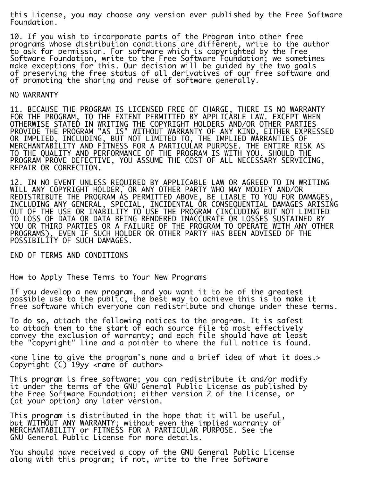this License, you may choose any version ever published by the Free Software Foundation.

10. If you wish to incorporate parts of the Program into other free programs whose distribution conditions are different, write to the author to ask for permission. For software which is copyrighted by the Free Software Foundation, write to the Free Software Foundation; we sometimes make exceptions for this. Our decision will be guided by the two goals of preserving the free status of all derivatives of our free software and of promoting the sharing and reuse of software generally.

## NO WARRANTY

11. BECAUSE THE PROGRAM IS LICENSED FREE OF CHARGE, THERE IS NO WARRANTY FOR THE PROGRAM, TO THE EXTENT PERMITTED BY APPLICABLE LAW. EXCEPT WHEN OTHERWISE STATED IN WRITING THE COPYRIGHT HOLDERS AND/OR OTHER PARTIES PROVIDE THE PROGRAM "AS IS" WITHOUT WARRANTY OF ANY KIND, EITHER EXPRESSED OR IMPLIED, INCLUDING, BUT NOT LIMITED TO, THE IMPLIED WARRANTIES OF MERCHANTABILITY AND FITNESS FOR A PARTICULAR PURPOSE. THE ENTIRE RISK AS TO THE QUALITY AND PERFORMANCE OF THE PROGRAM IS WITH YOU. SHOULD THE PROGRAM PROVE DEFECTIVE, YOU ASSUME THE COST OF ALL NECESSARY SERVICING, REPAIR OR CORRECTION.

12. IN NO EVENT UNLESS REQUIRED BY APPLICABLE LAW OR AGREED TO IN WRITING WILL ANY COPYRIGHT HOLDER, OR ANY OTHER PARTY WHO MAY MODIFY AND/OR REDISTRIBUTE THE PROGRAM AS PERMITTED ABOVE, BE LIABLE TO YOU FOR DAMAGES, INCLUDING ANY GENERAL, SPECIAL, INCIDENTAL OR CONSEQUENTIAL DAMAGES ARISING OUT OF THE USE OR INABILITY TO USE THE PROGRAM (INCLUDING BUT NOT LIMITED TO LOSS OF DATA OR DATA BEING RENDERED INACCURATE OR LOSSES SUSTAINED BY YOU OR THIRD PARTIES OR A FAILURE OF THE PROGRAM TO OPERATE WITH ANY OTHER PROGRAMS), EVEN IF SUCH HOLDER OR OTHER PARTY HAS BEEN ADVISED OF THE POSSIBILITY OF SUCH DAMAGES.

END OF TERMS AND CONDITIONS

How to Apply These Terms to Your New Programs

If you develop a new program, and you want it to be of the greatest possible use to the public, the best way to achieve this is to make it free software which everyone can redistribute and change under these terms.

To do so, attach the following notices to the program. It is safest to attach them to the start of each source file to most effectively convey the exclusion of warranty; and each file should have at least the "copyright" line and a pointer to where the full notice is found.

<one line to give the program's name and a brief idea of what it does.> Copyright  $(C)$  19yy <name of author>

This program is free software; you can redistribute it and/or modify it under the terms of the GNU General Public License as published by the Free Software Foundation; either version 2 of the License, or (at your option) any later version.

This program is distributed in the hope that it will be useful, but WITHOUT ANY WARRANTY; without even the implied warranty of MERCHANTABILITY or FITNESS FOR A PARTICULAR PURPOSE. See the GNU General Public License for more details.

You should have received a copy of the GNU General Public License along with this program; if not, write to the Free Software